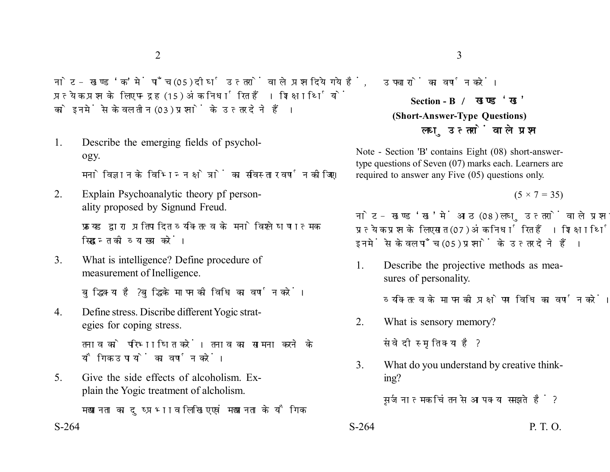नोट- खण्ड 'क' में पाँच (05) दीर्घ उत्तरों वाले प्रश्न दिये गये हैं. प्रत्येक प्रश्न के लिए पन्द्रह (15) अंक निर्धारित हैं। शिक्षार्थियों को इनमें से केवल तीन (03) प्रश्नों के उत्तर देने हैं।

- 1. Describe the emerging fields of psychology. मनोविज्ञान के विभिन्न क्षेत्रों का सविस्तार वर्णन कीजिए।
- 2. Explain Psychoanalytic theory pf personality proposed by Signund Freud.

फ्रायड द्वारा प्रतिपादित व्यक्तित्व के मनोविश्लेषणात्मक सिद्धान्त की व्याख्या करें।

3. What is intelligence? Define procedure of measurement of Inelligence.

बुद्धि क्या है? बुद्धि के मापन की विधि का वर्णन करें।

4. Define stress. Discribe different Yogic strategies for coping stress.

> तनाव को परिभाषित करें। तनाव का सामना करने के यौगिक उपायों का वर्णन करें।

5. Give the side effects of alcoholism. Explain the Yogic treatment of alcholism.

मद्यपानता का दुष्प्रभाव लिखिए एवं मद्यपानता के यौगिक

उपचारों का वर्णन करें।

**Section - B (Short-Answer-Type Questions)** लघु उत्तरों वाले प्रश्न

Note - Section 'B' contains Eight (08) short-answertype questions of Seven (07) marks each. Learners are required to answer any Five (05) questions only.

 $(5 \times 7 = 35)$ 

नोट- खण्ड 'ख' में आठ (08) लघु उत्तरों वाले प्रश्न दिये गये हैं, प्रत्येक प्रश्न के लिए सात (07) अंक निर्धारित हैं। शिक्षार्थियों को इनमें से केवल पाँच (05) प्रश्नों के उत्तर देने हैं।

1. Describe the projective methods as measures of personality.

व्यक्तित्व के मापन की प्रक्षेपण विधि का वर्णन करें।

- 2. What is sensory memory? संवेदी स्मृति क्या है?
- 3. What do you understand by creative thinking?

सुर्जनात्मक चिंतन से आप क्या समझते हैं?

- $S-264$  P. T. O.
-